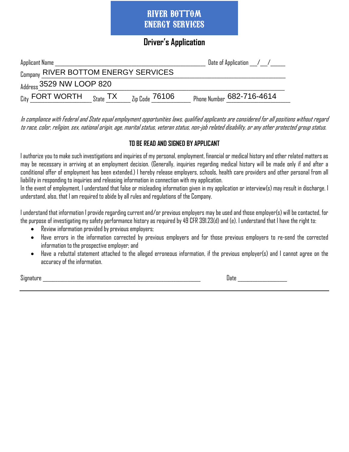#### **Driver's Application**

| Applicant Name                                                                                                             |                           | Date of Application $\angle$ / $\angle$ |
|----------------------------------------------------------------------------------------------------------------------------|---------------------------|-----------------------------------------|
| Company RIVER BOTTOM ENERGY SERVICES                                                                                       |                           |                                         |
| $_{\text{Address}}$ 3529 NW LOOP 820                                                                                       |                           |                                         |
| $_{\operatorname{\mathsf{City}}}$ FORT WORTH $_{\operatorname{\mathsf{State}}}$ TX $_{\operatorname{\mathsf{I}}\nolimits}$ | $_{\rm Zip~Code}$ $76106$ | Phone Number 682-716-4614               |

In compliance with Federal and State equal employment opportunities laws, qualified applicants are considered for all positions without regard to race, color, religion, sex, national origin, age, marital status, veteran status, non-job related disability, or any other protected group status.

#### **TO BE READ AND SIGNED BY APPLICANT**

I authorize you to make such investigations and inquiries of my personal, employment, financial or medical history and other related matters as may be necessary in arriving at an employment decision. (Generally, inquiries regarding medical history will be made only if and after a conditional offer of employment has been extended.) I hereby release employers, schools, health care providers and other personal from all liability in responding to inquiries and releasing information in connection with my application.

In the event of employment, I understand that false or misleading information given in my application or interview(s) may result in discharge. I understand, also, that I am required to abide by all rules and regulations of the Company.

I understand that information I provide regarding current and/or previous employers may be used and those employer(s) will becontacted, for the purpose of investigating my safety performance history as required by 49 CFR 391.23(d) and (e). I understand that I have the right to:

- Review information provided by previous employers;
- Have errors in the information corrected by previous employers and for those previous employers to re-send the corrected information to the prospective employer; and
- Have a rebuttal statement attached to the alleged erroneous information, if the previous employer(s) and I cannot agree on the accuracy of the information.

Signature \_\_\_\_\_\_\_\_\_\_\_\_\_\_\_\_\_\_\_\_\_\_\_\_\_\_\_\_\_\_\_\_\_\_\_\_\_\_\_\_\_\_\_\_\_\_\_\_\_\_\_\_\_\_\_\_\_\_\_\_\_\_\_\_ Date \_\_\_\_\_\_\_\_\_\_\_\_\_\_\_\_\_\_\_\_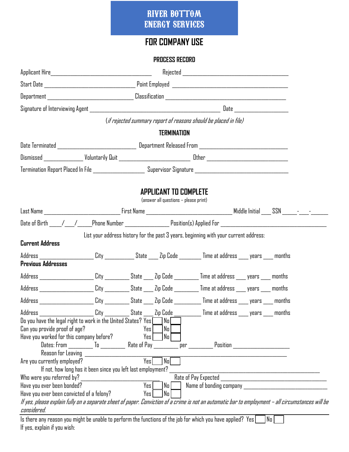# **FOR COMPANY USE**

#### **PROCESS RECORD**

|                                                                                                                                                                                                                                                                           |                                                                                          |                 |                                                                       | (if rejected summary report of reasons should be placed in file)                                                                                                                                                                                                                                                                                                                                                                                                       |  |  |  |  |
|---------------------------------------------------------------------------------------------------------------------------------------------------------------------------------------------------------------------------------------------------------------------------|------------------------------------------------------------------------------------------|-----------------|-----------------------------------------------------------------------|------------------------------------------------------------------------------------------------------------------------------------------------------------------------------------------------------------------------------------------------------------------------------------------------------------------------------------------------------------------------------------------------------------------------------------------------------------------------|--|--|--|--|
|                                                                                                                                                                                                                                                                           |                                                                                          |                 | <b>TERMINATION</b>                                                    |                                                                                                                                                                                                                                                                                                                                                                                                                                                                        |  |  |  |  |
| Date Terminated ___________________________________ Department Released From _________________________________                                                                                                                                                            |                                                                                          |                 |                                                                       |                                                                                                                                                                                                                                                                                                                                                                                                                                                                        |  |  |  |  |
|                                                                                                                                                                                                                                                                           |                                                                                          |                 |                                                                       |                                                                                                                                                                                                                                                                                                                                                                                                                                                                        |  |  |  |  |
| Termination Report Placed In File ___________________ Supervisor Signature ___________________________________                                                                                                                                                            |                                                                                          |                 |                                                                       |                                                                                                                                                                                                                                                                                                                                                                                                                                                                        |  |  |  |  |
|                                                                                                                                                                                                                                                                           |                                                                                          |                 | <b>APPLICANT TO COMPLETE</b><br>(answer all questions - please print) |                                                                                                                                                                                                                                                                                                                                                                                                                                                                        |  |  |  |  |
|                                                                                                                                                                                                                                                                           |                                                                                          |                 |                                                                       |                                                                                                                                                                                                                                                                                                                                                                                                                                                                        |  |  |  |  |
|                                                                                                                                                                                                                                                                           |                                                                                          |                 |                                                                       |                                                                                                                                                                                                                                                                                                                                                                                                                                                                        |  |  |  |  |
|                                                                                                                                                                                                                                                                           |                                                                                          |                 |                                                                       | List your address history for the past 3 years, beginning with your current address:                                                                                                                                                                                                                                                                                                                                                                                   |  |  |  |  |
| <b>Current Address</b>                                                                                                                                                                                                                                                    |                                                                                          |                 |                                                                       |                                                                                                                                                                                                                                                                                                                                                                                                                                                                        |  |  |  |  |
| Address ___________________City ___________State ____Zip Code ________Time at address ____ years ____ months<br><b>Previous Addresses</b>                                                                                                                                 |                                                                                          |                 |                                                                       |                                                                                                                                                                                                                                                                                                                                                                                                                                                                        |  |  |  |  |
| Address _______________________ City __________ State ____ Zip Code _________ Time at address ____ years ____ months                                                                                                                                                      |                                                                                          |                 |                                                                       |                                                                                                                                                                                                                                                                                                                                                                                                                                                                        |  |  |  |  |
| Address ________________________ City ___________ State ____ Zip Code __________ Time at address ____ years ____ months                                                                                                                                                   |                                                                                          |                 |                                                                       |                                                                                                                                                                                                                                                                                                                                                                                                                                                                        |  |  |  |  |
| Address ___________________City _________State ____Zip Code __________Time at address ____ years ____ months                                                                                                                                                              |                                                                                          |                 |                                                                       |                                                                                                                                                                                                                                                                                                                                                                                                                                                                        |  |  |  |  |
| Address ______________________<br>Do you have the legal right to work in the United States? Yes ______ No<br>Can you provide proof of age?<br>Have you worked for this company before?                                                                                    |                                                                                          | Yes<br>Yes I    | No<br>  No                                                            | . City __________ State ____ Zip Cod <u>e ___</u> ________ Time at address ____ years ____ months                                                                                                                                                                                                                                                                                                                                                                      |  |  |  |  |
|                                                                                                                                                                                                                                                                           | Dates: From _________ To _________ Rate of Pay _<br>Reason for Leaving _________________ |                 |                                                                       | Position <b>Provident Contract Contract Contract Contract Contract Contract Contract Contract Contract Contract Contract Contract Contract Contract Contract Contract Contract Contract Contract Contract Contract Contract Cont</b><br>per and the person of the set of the set of the set of the set of the set of the set of the set of the set of the set of the set of the set of the set of the set of the set of the set of the set of the set of the set of th |  |  |  |  |
| Are you currently employed?                                                                                                                                                                                                                                               | If not, how long has it been since you left last employment?                             | $Y_{ES}$        | $N_0$                                                                 |                                                                                                                                                                                                                                                                                                                                                                                                                                                                        |  |  |  |  |
| Who were you referred by?<br>Have you ever been bonded?<br>Have you ever been convicted of a felony?<br>If yes, please explain fully on a separate sheet of paper. Conviction of a crime is not an automatic bar to employment – all circumstances will be<br>considered. |                                                                                          | $Y_{ES}$<br>Yes | $\lfloor N_0 \rfloor$<br> No                                          | Name of bonding company and a state of the state of the state of the state of the state of the state of the sta                                                                                                                                                                                                                                                                                                                                                        |  |  |  |  |

Is there any reason you might be unable to perform the functions of the job for which you have applied? <code>Yes</code>  $\Box$  No  $\Box$ If yes, explain if you wish: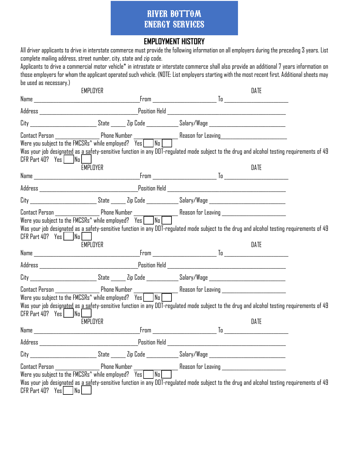#### **EMPLOYMENT HISTORY**

All driver applicants to drive in interstate commerce must provide the following information on all employers during the preceding 3 years. List complete mailing address, street number, city, state and zip code.

Applicants to drive a commercial motor vehicle\* in intrastate or interstate commerce shall also provide an additional 7 years information on those employers for whom the applicant operated such vehicle. (NOTE: List employers starting with the most recent first. Additional sheets may be used as necessary.)

|                                                                                                                                                                                                                                | EMPLOYER |                            |                                                                                                                                                                       | DATE |  |
|--------------------------------------------------------------------------------------------------------------------------------------------------------------------------------------------------------------------------------|----------|----------------------------|-----------------------------------------------------------------------------------------------------------------------------------------------------------------------|------|--|
|                                                                                                                                                                                                                                |          |                            |                                                                                                                                                                       |      |  |
|                                                                                                                                                                                                                                |          |                            |                                                                                                                                                                       |      |  |
|                                                                                                                                                                                                                                |          |                            | City ___________________________State _______ Zip Code ______________Salary/Wage _____________________________                                                        |      |  |
|                                                                                                                                                                                                                                |          |                            | Contact Person ________________________Phone Number _____________________________<br>Were you subject to the FMCSRs^ while employed? Yes ____No _____________________ |      |  |
|                                                                                                                                                                                                                                |          |                            | Was your job designated as a safety-sensitive function in any DOT-regulated mode subject to the drug and alcohol testing requirements of 49                           |      |  |
| $CFR$ Part 40? Yes $\Box$ No $\Box$                                                                                                                                                                                            |          |                            |                                                                                                                                                                       |      |  |
|                                                                                                                                                                                                                                | EMPLOYER |                            |                                                                                                                                                                       | DATE |  |
|                                                                                                                                                                                                                                |          |                            |                                                                                                                                                                       |      |  |
|                                                                                                                                                                                                                                |          |                            |                                                                                                                                                                       |      |  |
|                                                                                                                                                                                                                                |          |                            | City ___________________________State _______ Zip Code ______________Salary/Wage _____________________________                                                        |      |  |
|                                                                                                                                                                                                                                |          |                            | Contact Person ___________________Phone Number __________________________________<br>Were you subject to the FMCSRs^ while employed? Yes ___No ______________________ |      |  |
|                                                                                                                                                                                                                                |          |                            |                                                                                                                                                                       |      |  |
|                                                                                                                                                                                                                                |          |                            | Was your job designated as a safety-sensitive function in any DOT-regulated mode subject to the drug and alcohol testing requirements of 49                           |      |  |
| $CFR$ Part 40? Yes $\Box$ No $\Box$                                                                                                                                                                                            | EMPLOYER |                            |                                                                                                                                                                       | DATE |  |
|                                                                                                                                                                                                                                |          |                            |                                                                                                                                                                       |      |  |
|                                                                                                                                                                                                                                |          |                            |                                                                                                                                                                       |      |  |
|                                                                                                                                                                                                                                |          |                            | City ____________________________State _______ Zip Code ______________Salary/Wage ____________________________                                                        |      |  |
|                                                                                                                                                                                                                                |          |                            |                                                                                                                                                                       |      |  |
|                                                                                                                                                                                                                                |          |                            |                                                                                                                                                                       |      |  |
| $CFR$ Part 40? Yes   $N_0$                                                                                                                                                                                                     |          |                            | Was your job designated as a safety-sensitive function in any DOT-regulated mode subject to the drug and alcohol testing requirements of 49                           |      |  |
|                                                                                                                                                                                                                                | EMPLOYER |                            |                                                                                                                                                                       | DATE |  |
| Name and the state of the state of the state of the state of the state of the state of the state of the state of the state of the state of the state of the state of the state of the state of the state of the state of the s |          |                            |                                                                                                                                                                       |      |  |
| Address                                                                                                                                                                                                                        |          | Position Held <sub>.</sub> |                                                                                                                                                                       |      |  |
|                                                                                                                                                                                                                                |          |                            | City ___________________________State _______ Zip Code ______________Salary/Wage _____________________________                                                        |      |  |
| Contact Person <b>Example 2</b> Phone Number                                                                                                                                                                                   |          |                            |                                                                                                                                                                       |      |  |
|                                                                                                                                                                                                                                |          |                            |                                                                                                                                                                       |      |  |
| $CFR$ Part 40? $Yes$   $No$                                                                                                                                                                                                    |          |                            | Was your job designated as a safety-sensitive function in any DOT-regulated mode subject to the drug and alcohol testing requirements of 49                           |      |  |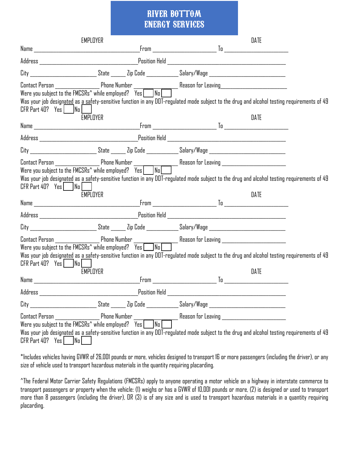|                               | EMPLOYER |                                                                                                                                                                                                                                                                                                                      | DATE |  |
|-------------------------------|----------|----------------------------------------------------------------------------------------------------------------------------------------------------------------------------------------------------------------------------------------------------------------------------------------------------------------------|------|--|
|                               |          |                                                                                                                                                                                                                                                                                                                      |      |  |
|                               |          |                                                                                                                                                                                                                                                                                                                      |      |  |
|                               |          | City ____________________________State _______ Zip Code ______________Salary/Wage ____________________________                                                                                                                                                                                                       |      |  |
| $CFR$ Part 40? Yes   $ Na $   | EMPLOYER | Was your job designated as a safety-sensitive function in any DOT-regulated mode subject to the drug and alcohol testing requirements of 49                                                                                                                                                                          | DATE |  |
|                               |          |                                                                                                                                                                                                                                                                                                                      |      |  |
|                               |          |                                                                                                                                                                                                                                                                                                                      |      |  |
|                               |          | City ___________________________State _______ Zip Code ______________Salary/Wage _____________________________                                                                                                                                                                                                       |      |  |
| $CFR$ Part 40? Yes   $ Na $   |          | Contact Person ___________________Phone Number __________________________________<br>Were you subject to the FMCSRs^ while employed? Yes ___No ______________________<br>Was your job designated as a safety-sensitive function in any DOT-regulated mode subject to the drug and alcohol testing requirements of 49 |      |  |
|                               | EMPLOYER |                                                                                                                                                                                                                                                                                                                      | DATE |  |
|                               |          |                                                                                                                                                                                                                                                                                                                      |      |  |
|                               |          | City _____________________________State _______ Zip Code ______________Salary/Wage ___________________________                                                                                                                                                                                                       |      |  |
| $CFR$ Part 40? Yes $ $ $ $ No |          | Was your job designated as a safety-sensitive function in any DOT-regulated mode subject to the drug and alcohol testing requirements of 49                                                                                                                                                                          |      |  |
|                               | EMPLOYER |                                                                                                                                                                                                                                                                                                                      | DATE |  |
|                               |          |                                                                                                                                                                                                                                                                                                                      |      |  |
|                               |          | City _________________________State ______ Zip Code _____________Salary/Wage ____________________________                                                                                                                                                                                                            |      |  |
| $CFR$ Part 40? $Yes$ No       |          | Was your job design <u>ated</u> as a safety-sensitive function in any DOT-regulated mode subject to the drug and alcohol testing requirements of 49                                                                                                                                                                  |      |  |

\*Includes vehicles having GVWR of 26,001 pounds or more, vehicles designed to transport 16 or more passengers (including the driver), or any size of vehicle used to transport hazardous materials in the quantity requiring placarding.

^The Federal Motor Carrier Safety Regulations (FMCSRs) apply to anyone operating a motor vehicle on a highway in interstate commerce to transport passengers or property when the vehicle: (1) weighs or has a GVWR of 10,001 pounds or more, (2) is designed or used to transport more than 8 passengers (including the driver), OR (3) is of any size and is used to transport hazardous materials in a quantity requiring placarding.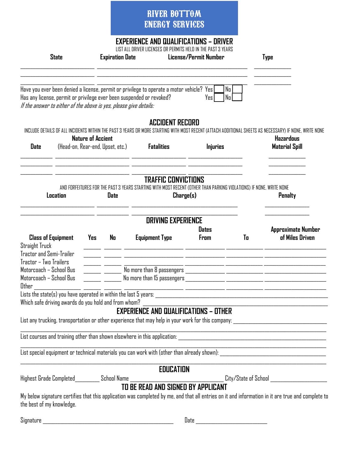#### **EXPERIENCE AND QUALIFICATIONS – DRIVER**

LIST ALL DRIVER LICENSES OR PERMITS HELD IN THE PAST 3 YEARS

| <b>State</b>                                                                                                                                                                                                                  | LIST ALL DRIVER LILENSES DR PERMITS HELD IN THE PAST 3 YEARS<br>License/Permit Number<br><b>Expiration Date</b> |             |                                                                                                                                                        |                        | <b>Type</b> |                                                                                                                                                   |  |
|-------------------------------------------------------------------------------------------------------------------------------------------------------------------------------------------------------------------------------|-----------------------------------------------------------------------------------------------------------------|-------------|--------------------------------------------------------------------------------------------------------------------------------------------------------|------------------------|-------------|---------------------------------------------------------------------------------------------------------------------------------------------------|--|
| Has any license, permit or privilege ever been suspended or revoked?<br>If the answer to either of the above is yes, please give details:                                                                                     |                                                                                                                 |             | Have you ever been denied a license, permit or privilege to operate a motor vehicle? Yes $\lfloor$                                                     | No <br>  No  <br>Yes I |             |                                                                                                                                                   |  |
|                                                                                                                                                                                                                               |                                                                                                                 |             | <b>ACCIDENT RECORD</b>                                                                                                                                 |                        |             |                                                                                                                                                   |  |
|                                                                                                                                                                                                                               | <b>Nature of Accient</b>                                                                                        |             | INCLUDE DETAILS OF ALL INCIDENTS WITHIN THE PAST 3 YEARS OR MORE STARTING WITH MOST RECENT (ATTACH ADDITIONAL SHEETS AS NECESSARY) IF NONE, WRITE NONE |                        |             | <b>Hazardous</b>                                                                                                                                  |  |
| <b>Date</b>                                                                                                                                                                                                                   |                                                                                                                 |             | (Head-on, Rear-end, Upset, etc.) <b>Fatalities</b>                                                                                                     | <b>Injuries</b>        |             | <b>Material Spill</b>                                                                                                                             |  |
|                                                                                                                                                                                                                               |                                                                                                                 |             | <b>TRAFFIC CONVICTIONS</b>                                                                                                                             |                        |             |                                                                                                                                                   |  |
| Location                                                                                                                                                                                                                      |                                                                                                                 | <b>Date</b> | AND FORFEITURES FOR THE PAST 3 YEARS STARTING WITH MOST RECENT (OTHER THAN PARKING VIOLATIONS) IF NONE, WRITE NONE<br>Change(s)                        |                        |             | <b>Penalty</b>                                                                                                                                    |  |
|                                                                                                                                                                                                                               |                                                                                                                 |             | <b>DRIVING EXPERIENCE</b>                                                                                                                              |                        |             |                                                                                                                                                   |  |
| <b>Class of Equipment</b><br><b>Straight Truck</b><br>Tractor and Semi-Trailer                                                                                                                                                | Yes                                                                                                             | No          | <b>Equipment Type</b>                                                                                                                                  | <b>Dates</b><br>From   | To          | <b>Approximate Number</b><br>of Miles Driven                                                                                                      |  |
| Tractor - Two Trailers                                                                                                                                                                                                        |                                                                                                                 |             | <u> 2002 - 2003 - Antonio Alemania, amerikan personal di alemanian personal dengan personal di alemanian di ale</u>                                    |                        |             |                                                                                                                                                   |  |
| Motorcoach – School Bus<br>Motorcoach – School Bus                                                                                                                                                                            |                                                                                                                 |             |                                                                                                                                                        |                        |             |                                                                                                                                                   |  |
| Other                                                                                                                                                                                                                         |                                                                                                                 |             | <u> 2000 - 2000 - 2000 - 2000 - 2000 - 2000 - 2000 - 2000 - 2000 - 2000 - 2000 - 2000 - 2000 - 2000 - 2000 - 200</u>                                   |                        |             |                                                                                                                                                   |  |
| Which safe driving awards do you hold and from whom?                                                                                                                                                                          |                                                                                                                 |             |                                                                                                                                                        |                        |             |                                                                                                                                                   |  |
|                                                                                                                                                                                                                               |                                                                                                                 |             | <b>EXPERIENCE AND QUALIFICATIONS - OTHER</b>                                                                                                           |                        |             |                                                                                                                                                   |  |
|                                                                                                                                                                                                                               |                                                                                                                 |             |                                                                                                                                                        |                        |             |                                                                                                                                                   |  |
|                                                                                                                                                                                                                               |                                                                                                                 |             |                                                                                                                                                        |                        |             |                                                                                                                                                   |  |
|                                                                                                                                                                                                                               |                                                                                                                 |             |                                                                                                                                                        |                        |             |                                                                                                                                                   |  |
| the control of the control of the control of the control of the control of the control of the control of the control of the control of the control of the control of the control of the control of the control of the control |                                                                                                                 |             | <b>EDUCATION</b>                                                                                                                                       |                        |             |                                                                                                                                                   |  |
|                                                                                                                                                                                                                               |                                                                                                                 |             |                                                                                                                                                        |                        |             |                                                                                                                                                   |  |
| the best of my knowledge.                                                                                                                                                                                                     |                                                                                                                 |             |                                                                                                                                                        |                        |             | My below signature certifies that this application was completed by me, and that all entries on it and information in it are true and complete to |  |
|                                                                                                                                                                                                                               |                                                                                                                 |             |                                                                                                                                                        |                        |             |                                                                                                                                                   |  |